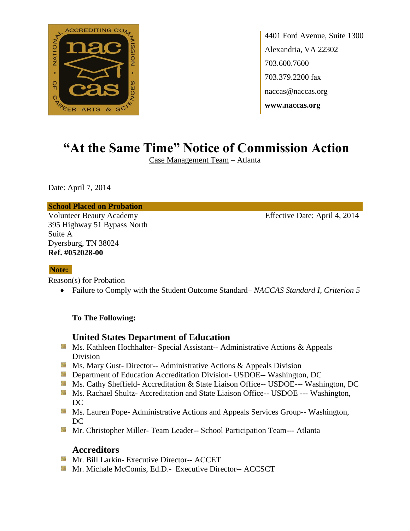

4401 Ford Avenue, Suite 1300 Alexandria, VA 22302 703.600.7600 703.379.2200 fax naccas@naccas.org **www.naccas.org**

# **"At the Same Time" Notice of Commission Action**

Case Management Team – Atlanta

Date: April 7, 2014

**School Placed on Probation**

Volunteer Beauty Academy Effective Date: April 4, 2014 395 Highway 51 Bypass North Suite A Dyersburg, TN 38024 **Ref. #052028-00**

### **Note:**

Reason(s) for Probation

Failure to Comply with the Student Outcome Standard– *NACCAS Standard I, Criterion 5*

### **To The Following:**

## **United States Department of Education**

- Ms. Kathleen Hochhalter- Special Assistant-- Administrative Actions & Appeals Division
- **Ms. Mary Gust- Director-- Administrative Actions & Appeals Division**
- **Department of Education Accreditation Division- USDOE-- Washington, DC**
- Ms. Cathy Sheffield- Accreditation & State Liaison Office-- USDOE--- Washington, DC
- Ms. Rachael Shultz- Accreditation and State Liaison Office-- USDOE --- Washington, DC
- **MS. Lauren Pope- Administrative Actions and Appeals Services Group-- Washington,** DC
- **Mr.** Christopher Miller-Team Leader-- School Participation Team--- Atlanta

### **Accreditors**

- **Mr. Bill Larkin- Executive Director-- ACCET**
- **Mr. Michale McComis, Ed.D.- Executive Director-- ACCSCT**